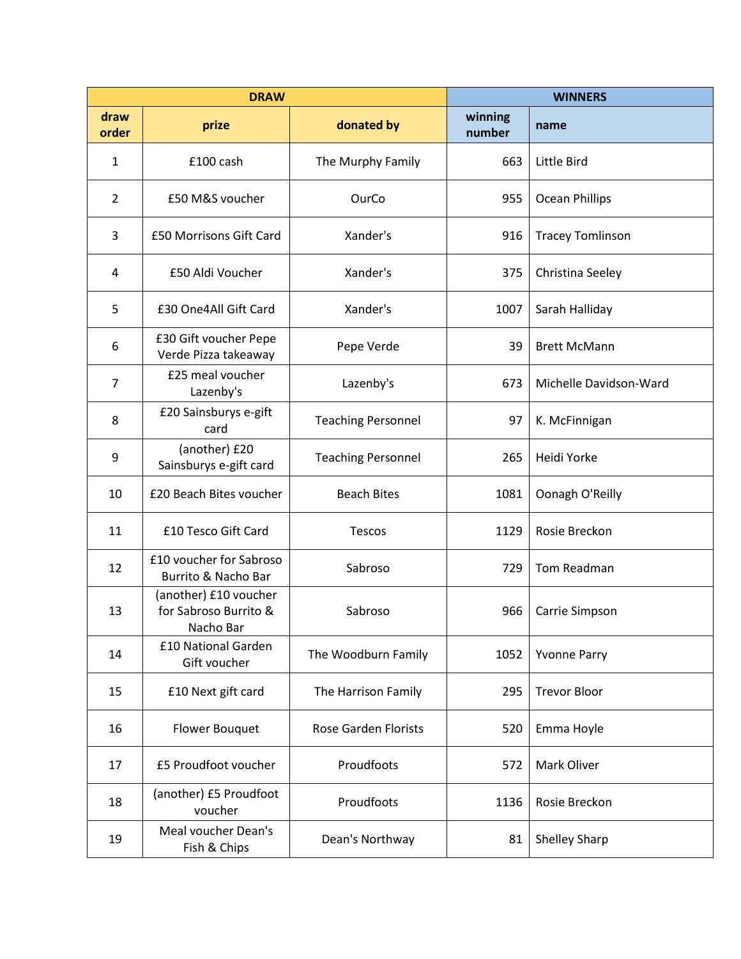| <b>DRAW</b>    |                                                             |                             | <b>WINNERS</b>    |                         |
|----------------|-------------------------------------------------------------|-----------------------------|-------------------|-------------------------|
| draw<br>order  | prize                                                       | donated by                  | winning<br>number | name                    |
| 1              | £100 cash                                                   | The Murphy Family           | 663               | Little Bird             |
| $\overline{2}$ | £50 M&S voucher                                             | OurCo                       | 955               | Ocean Phillips          |
| 3              | £50 Morrisons Gift Card                                     | Xander's                    | 916               | <b>Tracey Tomlinson</b> |
| 4              | £50 Aldi Voucher                                            | Xander's                    | 375               | Christina Seeley        |
| 5              | £30 One4All Gift Card                                       | Xander's                    | 1007              | Sarah Halliday          |
| 6              | £30 Gift voucher Pepe<br>Verde Pizza takeaway               | Pepe Verde                  | 39                | <b>Brett McMann</b>     |
| $\overline{7}$ | £25 meal voucher<br>Lazenby's                               | Lazenby's                   | 673               | Michelle Davidson-Ward  |
| 8              | £20 Sainsburys e-gift<br>card                               | <b>Teaching Personnel</b>   | 97                | K. McFinnigan           |
| 9              | (another) £20<br>Sainsburys e-gift card                     | <b>Teaching Personnel</b>   | 265               | Heidi Yorke             |
| 10             | £20 Beach Bites voucher                                     | <b>Beach Bites</b>          | 1081              | Oonagh O'Reilly         |
| 11             | £10 Tesco Gift Card                                         | Tescos                      | 1129              | Rosie Breckon           |
| 12             | £10 voucher for Sabroso<br>Burrito & Nacho Bar              | Sabroso                     | 729               | Tom Readman             |
| 13             | (another) £10 voucher<br>for Sabroso Burrito &<br>Nacho Bar | Sabroso                     | 966               | Carrie Simpson          |
| 14             | £10 National Garden<br>Gift voucher                         | The Woodburn Family         | 1052              | <b>Yvonne Parry</b>     |
| 15             | £10 Next gift card                                          | The Harrison Family         | 295               | <b>Trevor Bloor</b>     |
| 16             | <b>Flower Bouquet</b>                                       | <b>Rose Garden Florists</b> | 520               | Emma Hoyle              |
| 17             | £5 Proudfoot voucher                                        | Proudfoots                  | 572               | <b>Mark Oliver</b>      |
| 18             | (another) £5 Proudfoot<br>voucher                           | Proudfoots                  | 1136              | Rosie Breckon           |
| 19             | Meal voucher Dean's<br>Fish & Chips                         | Dean's Northway             | 81                | Shelley Sharp           |